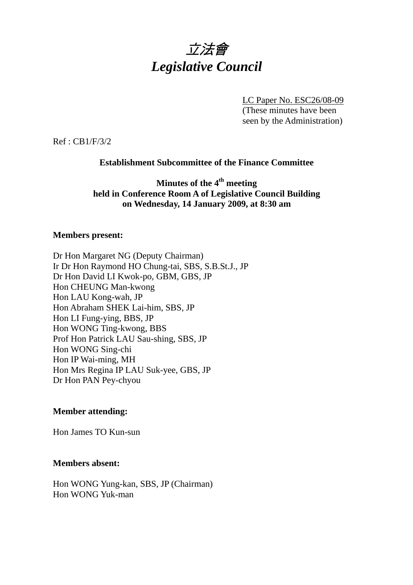

LC Paper No. ESC26/08-09

(These minutes have been seen by the Administration)

Ref : CB1/F/3/2

### **Establishment Subcommittee of the Finance Committee**

## **Minutes of the 4th meeting held in Conference Room A of Legislative Council Building on Wednesday, 14 January 2009, at 8:30 am**

#### **Members present:**

Dr Hon Margaret NG (Deputy Chairman) Ir Dr Hon Raymond HO Chung-tai, SBS, S.B.St.J., JP Dr Hon David LI Kwok-po, GBM, GBS, JP Hon CHEUNG Man-kwong Hon LAU Kong-wah, JP Hon Abraham SHEK Lai-him, SBS, JP Hon LI Fung-ying, BBS, JP Hon WONG Ting-kwong, BBS Prof Hon Patrick LAU Sau-shing, SBS, JP Hon WONG Sing-chi Hon IP Wai-ming, MH Hon Mrs Regina IP LAU Suk-yee, GBS, JP Dr Hon PAN Pey-chyou

#### **Member attending:**

Hon James TO Kun-sun

#### **Members absent:**

Hon WONG Yung-kan, SBS, JP (Chairman) Hon WONG Yuk-man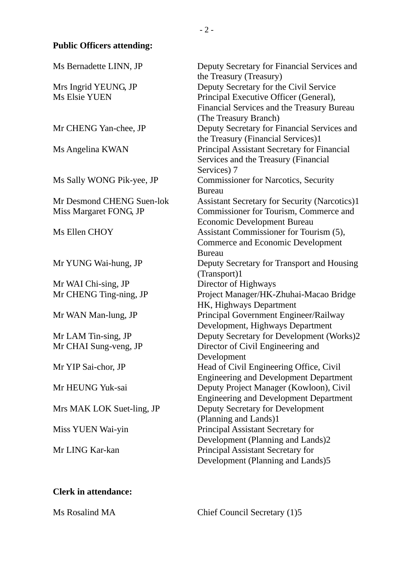# **Public Officers attending:**

| Ms Bernadette LINN, JP                       | Deputy Secretary for Financial Services and<br>the Treasury (Treasury)                             |
|----------------------------------------------|----------------------------------------------------------------------------------------------------|
| Mrs Ingrid YEUNG, JP<br><b>Ms Elsie YUEN</b> | Deputy Secretary for the Civil Service<br>Principal Executive Officer (General),                   |
|                                              | Financial Services and the Treasury Bureau<br>(The Treasury Branch)                                |
| Mr CHENG Yan-chee, JP                        | Deputy Secretary for Financial Services and<br>the Treasury (Financial Services)1                  |
| Ms Angelina KWAN                             | Principal Assistant Secretary for Financial<br>Services and the Treasury (Financial<br>Services) 7 |
| Ms Sally WONG Pik-yee, JP                    | <b>Commissioner for Narcotics, Security</b><br><b>Bureau</b>                                       |
| Mr Desmond CHENG Suen-lok                    | <b>Assistant Secretary for Security (Narcotics)1</b>                                               |
| Miss Margaret FONG, JP                       | Commissioner for Tourism, Commerce and                                                             |
|                                              | <b>Economic Development Bureau</b>                                                                 |
| Ms Ellen CHOY                                | Assistant Commissioner for Tourism (5),                                                            |
|                                              | <b>Commerce and Economic Development</b>                                                           |
|                                              | <b>Bureau</b>                                                                                      |
| Mr YUNG Wai-hung, JP                         | Deputy Secretary for Transport and Housing                                                         |
|                                              | (Transport)1                                                                                       |
| Mr WAI Chi-sing, JP                          | Director of Highways                                                                               |
| Mr CHENG Ting-ning, JP                       | Project Manager/HK-Zhuhai-Macao Bridge<br>HK, Highways Department                                  |
| Mr WAN Man-lung, JP                          | Principal Government Engineer/Railway<br>Development, Highways Department                          |
| Mr LAM Tin-sing, JP                          | Deputy Secretary for Development (Works)2                                                          |
| Mr CHAI Sung-veng, JP                        | Director of Civil Engineering and<br>Development                                                   |
| Mr YIP Sai-chor, JP                          | Head of Civil Engineering Office, Civil<br><b>Engineering and Development Department</b>           |
| Mr HEUNG Yuk-sai                             | Deputy Project Manager (Kowloon), Civil<br><b>Engineering and Development Department</b>           |
| Mrs MAK LOK Suet-ling, JP                    | Deputy Secretary for Development<br>(Planning and Lands)1                                          |
| Miss YUEN Wai-yin                            | Principal Assistant Secretary for<br>Development (Planning and Lands)2                             |
| Mr LING Kar-kan                              | Principal Assistant Secretary for<br>Development (Planning and Lands)5                             |

## **Clerk in attendance:**

Ms Rosalind MA Chief Council Secretary (1)5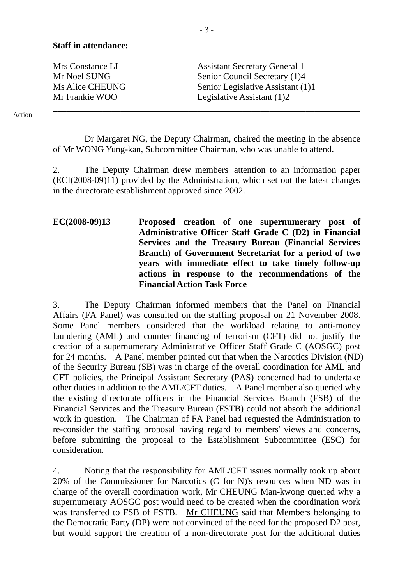#### **Staff in attendance:**

| Mrs Constance LI       | <b>Assistant Secretary General 1</b> |
|------------------------|--------------------------------------|
| Mr Noel SUNG           | Senior Council Secretary (1)4        |
| <b>Ms Alice CHEUNG</b> | Senior Legislative Assistant (1)1    |
| Mr Frankie WOO         | Legislative Assistant $(1)2$         |
|                        |                                      |

Action

 Dr Margaret NG, the Deputy Chairman, chaired the meeting in the absence of Mr WONG Yung-kan, Subcommittee Chairman, who was unable to attend.

2. The Deputy Chairman drew members' attention to an information paper (ECI(2008-09)11) provided by the Administration, which set out the latest changes in the directorate establishment approved since 2002.

**EC(2008-09)13 Proposed creation of one supernumerary post of Administrative Officer Staff Grade C (D2) in Financial Services and the Treasury Bureau (Financial Services Branch) of Government Secretariat for a period of two years with immediate effect to take timely follow-up actions in response to the recommendations of the Financial Action Task Force** 

3. The Deputy Chairman informed members that the Panel on Financial Affairs (FA Panel) was consulted on the staffing proposal on 21 November 2008. Some Panel members considered that the workload relating to anti-money laundering (AML) and counter financing of terrorism (CFT) did not justify the creation of a supernumerary Administrative Officer Staff Grade C (AOSGC) post for 24 months. A Panel member pointed out that when the Narcotics Division (ND) of the Security Bureau (SB) was in charge of the overall coordination for AML and CFT policies, the Principal Assistant Secretary (PAS) concerned had to undertake other duties in addition to the AML/CFT duties. A Panel member also queried why the existing directorate officers in the Financial Services Branch (FSB) of the Financial Services and the Treasury Bureau (FSTB) could not absorb the additional work in question. The Chairman of FA Panel had requested the Administration to re-consider the staffing proposal having regard to members' views and concerns, before submitting the proposal to the Establishment Subcommittee (ESC) for consideration.

4. Noting that the responsibility for AML/CFT issues normally took up about 20% of the Commissioner for Narcotics (C for N)'s resources when ND was in charge of the overall coordination work, Mr CHEUNG Man-kwong queried why a supernumerary AOSGC post would need to be created when the coordination work was transferred to FSB of FSTB. Mr CHEUNG said that Members belonging to the Democratic Party (DP) were not convinced of the need for the proposed D2 post, but would support the creation of a non-directorate post for the additional duties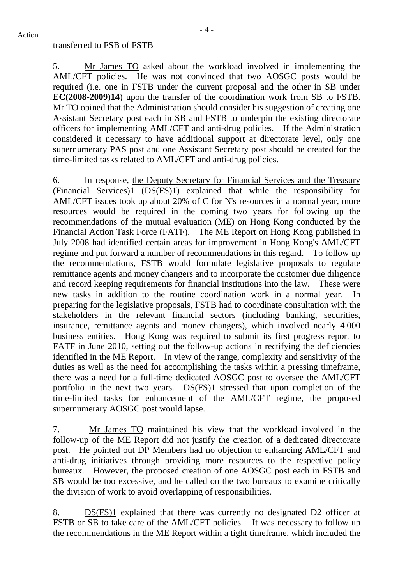#### transferred to FSB of FSTB

5. Mr James TO asked about the workload involved in implementing the AML/CFT policies. He was not convinced that two AOSGC posts would be required (i.e. one in FSTB under the current proposal and the other in SB under **EC(2008-2009)14**) upon the transfer of the coordination work from SB to FSTB. Mr TO opined that the Administration should consider his suggestion of creating one Assistant Secretary post each in SB and FSTB to underpin the existing directorate officers for implementing AML/CFT and anti-drug policies. If the Administration considered it necessary to have additional support at directorate level, only one supernumerary PAS post and one Assistant Secretary post should be created for the time-limited tasks related to AML/CFT and anti-drug policies.

6. In response, the Deputy Secretary for Financial Services and the Treasury (Financial Services)1 (DS(FS)1) explained that while the responsibility for AML/CFT issues took up about 20% of C for N's resources in a normal year, more resources would be required in the coming two years for following up the recommendations of the mutual evaluation (ME) on Hong Kong conducted by the Financial Action Task Force (FATF). The ME Report on Hong Kong published in July 2008 had identified certain areas for improvement in Hong Kong's AML/CFT regime and put forward a number of recommendations in this regard. To follow up the recommendations, FSTB would formulate legislative proposals to regulate remittance agents and money changers and to incorporate the customer due diligence and record keeping requirements for financial institutions into the law. These were new tasks in addition to the routine coordination work in a normal year. In preparing for the legislative proposals, FSTB had to coordinate consultation with the stakeholders in the relevant financial sectors (including banking, securities, insurance, remittance agents and money changers), which involved nearly 4 000 business entities. Hong Kong was required to submit its first progress report to FATF in June 2010, setting out the follow-up actions in rectifying the deficiencies identified in the ME Report. In view of the range, complexity and sensitivity of the duties as well as the need for accomplishing the tasks within a pressing timeframe, there was a need for a full-time dedicated AOSGC post to oversee the AML/CFT portfolio in the next two years. DS(FS)1 stressed that upon completion of the time-limited tasks for enhancement of the AML/CFT regime, the proposed supernumerary AOSGC post would lapse.

7. Mr James TO maintained his view that the workload involved in the follow-up of the ME Report did not justify the creation of a dedicated directorate post. He pointed out DP Members had no objection to enhancing AML/CFT and anti-drug initiatives through providing more resources to the respective policy bureaux. However, the proposed creation of one AOSGC post each in FSTB and SB would be too excessive, and he called on the two bureaux to examine critically the division of work to avoid overlapping of responsibilities.

8. DS(FS)1 explained that there was currently no designated D2 officer at FSTB or SB to take care of the AML/CFT policies. It was necessary to follow up the recommendations in the ME Report within a tight timeframe, which included the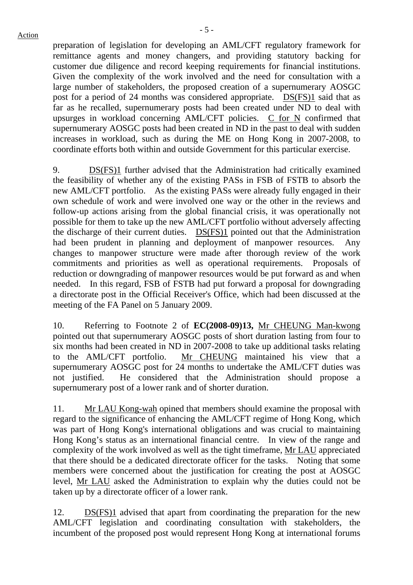preparation of legislation for developing an AML/CFT regulatory framework for remittance agents and money changers, and providing statutory backing for customer due diligence and record keeping requirements for financial institutions. Given the complexity of the work involved and the need for consultation with a large number of stakeholders, the proposed creation of a supernumerary AOSGC post for a period of 24 months was considered appropriate. DS(FS)1 said that as far as he recalled, supernumerary posts had been created under ND to deal with upsurges in workload concerning AML/CFT policies. C for N confirmed that supernumerary AOSGC posts had been created in ND in the past to deal with sudden increases in workload, such as during the ME on Hong Kong in 2007-2008, to coordinate efforts both within and outside Government for this particular exercise.

9. DS(FS)1 further advised that the Administration had critically examined the feasibility of whether any of the existing PASs in FSB of FSTB to absorb the new AML/CFT portfolio. As the existing PASs were already fully engaged in their own schedule of work and were involved one way or the other in the reviews and follow-up actions arising from the global financial crisis, it was operationally not possible for them to take up the new AML/CFT portfolio without adversely affecting the discharge of their current duties. DS(FS)1 pointed out that the Administration had been prudent in planning and deployment of manpower resources. Any changes to manpower structure were made after thorough review of the work commitments and priorities as well as operational requirements. Proposals of reduction or downgrading of manpower resources would be put forward as and when needed. In this regard, FSB of FSTB had put forward a proposal for downgrading a directorate post in the Official Receiver's Office, which had been discussed at the meeting of the FA Panel on 5 January 2009.

10. Referring to Footnote 2 of **EC(2008-09)13,** Mr CHEUNG Man-kwong pointed out that supernumerary AOSGC posts of short duration lasting from four to six months had been created in ND in 2007-2008 to take up additional tasks relating to the AML/CFT portfolio. Mr CHEUNG maintained his view that a supernumerary AOSGC post for 24 months to undertake the AML/CFT duties was not justified. He considered that the Administration should propose a supernumerary post of a lower rank and of shorter duration.

11. Mr LAU Kong-wah opined that members should examine the proposal with regard to the significance of enhancing the AML/CFT regime of Hong Kong, which was part of Hong Kong's international obligations and was crucial to maintaining Hong Kong's status as an international financial centre. In view of the range and complexity of the work involved as well as the tight timeframe, Mr LAU appreciated that there should be a dedicated directorate officer for the tasks. Noting that some members were concerned about the justification for creating the post at AOSGC level, Mr LAU asked the Administration to explain why the duties could not be taken up by a directorate officer of a lower rank.

12. DS(FS)1 advised that apart from coordinating the preparation for the new AML/CFT legislation and coordinating consultation with stakeholders, the incumbent of the proposed post would represent Hong Kong at international forums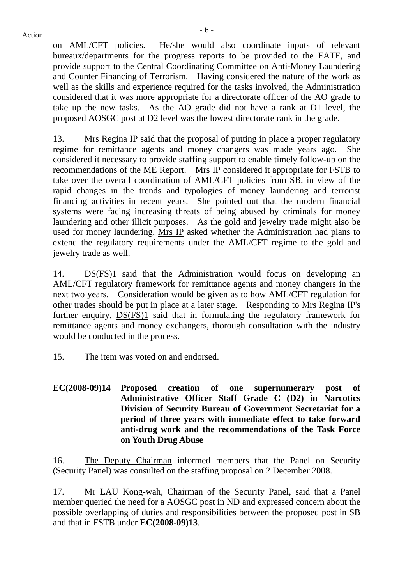on AML/CFT policies. He/she would also coordinate inputs of relevant bureaux/departments for the progress reports to be provided to the FATF, and provide support to the Central Coordinating Committee on Anti-Money Laundering and Counter Financing of Terrorism. Having considered the nature of the work as well as the skills and experience required for the tasks involved, the Administration considered that it was more appropriate for a directorate officer of the AO grade to take up the new tasks. As the AO grade did not have a rank at D1 level, the proposed AOSGC post at D2 level was the lowest directorate rank in the grade.

13. Mrs Regina IP said that the proposal of putting in place a proper regulatory regime for remittance agents and money changers was made years ago. She considered it necessary to provide staffing support to enable timely follow-up on the recommendations of the ME Report. Mrs IP considered it appropriate for FSTB to take over the overall coordination of AML/CFT policies from SB, in view of the rapid changes in the trends and typologies of money laundering and terrorist financing activities in recent years. She pointed out that the modern financial systems were facing increasing threats of being abused by criminals for money laundering and other illicit purposes. As the gold and jewelry trade might also be used for money laundering, Mrs IP asked whether the Administration had plans to extend the regulatory requirements under the AML/CFT regime to the gold and jewelry trade as well.

14. DS(FS)1 said that the Administration would focus on developing an AML/CFT regulatory framework for remittance agents and money changers in the next two years. Consideration would be given as to how AML/CFT regulation for other trades should be put in place at a later stage. Responding to Mrs Regina IP's further enquiry, DS(FS)1 said that in formulating the regulatory framework for remittance agents and money exchangers, thorough consultation with the industry would be conducted in the process.

- 15. The item was voted on and endorsed.
- **EC(2008-09)14 Proposed creation of one supernumerary post of Administrative Officer Staff Grade C (D2) in Narcotics Division of Security Bureau of Government Secretariat for a period of three years with immediate effect to take forward anti-drug work and the recommendations of the Task Force on Youth Drug Abuse**

16. The Deputy Chairman informed members that the Panel on Security (Security Panel) was consulted on the staffing proposal on 2 December 2008.

17. Mr LAU Kong-wah, Chairman of the Security Panel, said that a Panel member queried the need for a AOSGC post in ND and expressed concern about the possible overlapping of duties and responsibilities between the proposed post in SB and that in FSTB under **EC(2008-09)13**.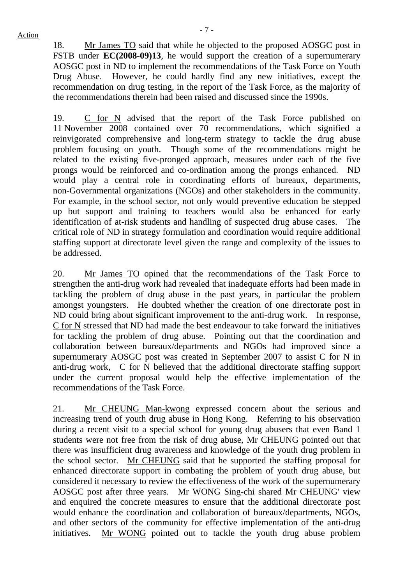18. Mr James TO said that while he objected to the proposed AOSGC post in FSTB under **EC(2008-09)13**, he would support the creation of a supernumerary AOSGC post in ND to implement the recommendations of the Task Force on Youth Drug Abuse. However, he could hardly find any new initiatives, except the recommendation on drug testing, in the report of the Task Force, as the majority of the recommendations therein had been raised and discussed since the 1990s.

19. C for N advised that the report of the Task Force published on 11 November 2008 contained over 70 recommendations, which signified a reinvigorated comprehensive and long-term strategy to tackle the drug abuse problem focusing on youth. Though some of the recommendations might be related to the existing five-pronged approach, measures under each of the five prongs would be reinforced and co-ordination among the prongs enhanced. ND would play a central role in coordinating efforts of bureaux, departments, non-Governmental organizations (NGOs) and other stakeholders in the community. For example, in the school sector, not only would preventive education be stepped up but support and training to teachers would also be enhanced for early identification of at-risk students and handling of suspected drug abuse cases. The critical role of ND in strategy formulation and coordination would require additional staffing support at directorate level given the range and complexity of the issues to be addressed.

20. Mr James TO opined that the recommendations of the Task Force to strengthen the anti-drug work had revealed that inadequate efforts had been made in tackling the problem of drug abuse in the past years, in particular the problem amongst youngsters. He doubted whether the creation of one directorate post in ND could bring about significant improvement to the anti-drug work. In response, C for N stressed that ND had made the best endeavour to take forward the initiatives for tackling the problem of drug abuse. Pointing out that the coordination and collaboration between bureaux/departments and NGOs had improved since a supernumerary AOSGC post was created in September 2007 to assist C for N in anti-drug work, C for N believed that the additional directorate staffing support under the current proposal would help the effective implementation of the recommendations of the Task Force.

21. Mr CHEUNG Man-kwong expressed concern about the serious and increasing trend of youth drug abuse in Hong Kong. Referring to his observation during a recent visit to a special school for young drug abusers that even Band 1 students were not free from the risk of drug abuse, Mr CHEUNG pointed out that there was insufficient drug awareness and knowledge of the youth drug problem in the school sector. Mr CHEUNG said that he supported the staffing proposal for enhanced directorate support in combating the problem of youth drug abuse, but considered it necessary to review the effectiveness of the work of the supernumerary AOSGC post after three years. Mr WONG Sing-chi shared Mr CHEUNG' view and enquired the concrete measures to ensure that the additional directorate post would enhance the coordination and collaboration of bureaux/departments, NGOs, and other sectors of the community for effective implementation of the anti-drug initiatives. Mr WONG pointed out to tackle the youth drug abuse problem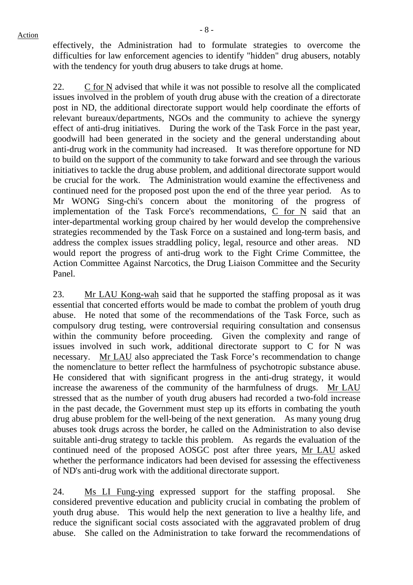effectively, the Administration had to formulate strategies to overcome the difficulties for law enforcement agencies to identify "hidden" drug abusers, notably with the tendency for youth drug abusers to take drugs at home.

22. C for N advised that while it was not possible to resolve all the complicated issues involved in the problem of youth drug abuse with the creation of a directorate post in ND, the additional directorate support would help coordinate the efforts of relevant bureaux/departments, NGOs and the community to achieve the synergy effect of anti-drug initiatives. During the work of the Task Force in the past year, goodwill had been generated in the society and the general understanding about anti-drug work in the community had increased. It was therefore opportune for ND to build on the support of the community to take forward and see through the various initiatives to tackle the drug abuse problem, and additional directorate support would be crucial for the work. The Administration would examine the effectiveness and continued need for the proposed post upon the end of the three year period. As to Mr WONG Sing-chi's concern about the monitoring of the progress of implementation of the Task Force's recommendations, C for N said that an inter-departmental working group chaired by her would develop the comprehensive strategies recommended by the Task Force on a sustained and long-term basis, and address the complex issues straddling policy, legal, resource and other areas. ND would report the progress of anti-drug work to the Fight Crime Committee, the Action Committee Against Narcotics, the Drug Liaison Committee and the Security Panel.

23. Mr LAU Kong-wah said that he supported the staffing proposal as it was essential that concerted efforts would be made to combat the problem of youth drug abuse. He noted that some of the recommendations of the Task Force, such as compulsory drug testing, were controversial requiring consultation and consensus within the community before proceeding. Given the complexity and range of issues involved in such work, additional directorate support to C for N was necessary. Mr LAU also appreciated the Task Force's recommendation to change the nomenclature to better reflect the harmfulness of psychotropic substance abuse. He considered that with significant progress in the anti-drug strategy, it would increase the awareness of the community of the harmfulness of drugs. Mr LAU stressed that as the number of youth drug abusers had recorded a two-fold increase in the past decade, the Government must step up its efforts in combating the youth drug abuse problem for the well-being of the next generation. As many young drug abuses took drugs across the border, he called on the Administration to also devise suitable anti-drug strategy to tackle this problem. As regards the evaluation of the continued need of the proposed AOSGC post after three years, Mr LAU asked whether the performance indicators had been devised for assessing the effectiveness of ND's anti-drug work with the additional directorate support.

24. Ms LI Fung-ying expressed support for the staffing proposal. She considered preventive education and publicity crucial in combating the problem of youth drug abuse. This would help the next generation to live a healthy life, and reduce the significant social costs associated with the aggravated problem of drug abuse. She called on the Administration to take forward the recommendations of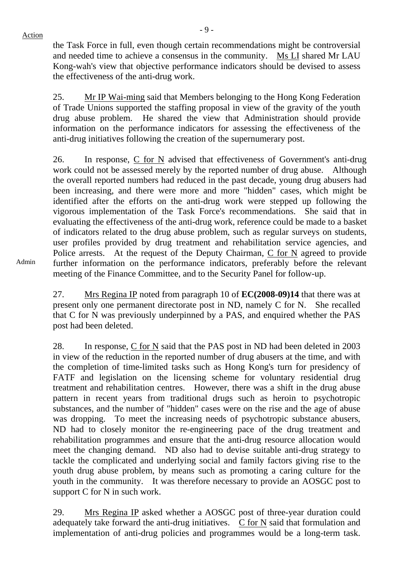- 9 -

the Task Force in full, even though certain recommendations might be controversial and needed time to achieve a consensus in the community. Ms LI shared Mr LAU Kong-wah's view that objective performance indicators should be devised to assess the effectiveness of the anti-drug work.

25. Mr IP Wai-ming said that Members belonging to the Hong Kong Federation of Trade Unions supported the staffing proposal in view of the gravity of the youth drug abuse problem. He shared the view that Administration should provide information on the performance indicators for assessing the effectiveness of the anti-drug initiatives following the creation of the supernumerary post.

26. In response,  $C$  for  $N$  advised that effectiveness of Government's anti-drug work could not be assessed merely by the reported number of drug abuse. Although the overall reported numbers had reduced in the past decade, young drug abusers had been increasing, and there were more and more "hidden" cases, which might be identified after the efforts on the anti-drug work were stepped up following the vigorous implementation of the Task Force's recommendations. She said that in evaluating the effectiveness of the anti-drug work, reference could be made to a basket of indicators related to the drug abuse problem, such as regular surveys on students, user profiles provided by drug treatment and rehabilitation service agencies, and Police arrests. At the request of the Deputy Chairman, C for N agreed to provide further information on the performance indicators, preferably before the relevant meeting of the Finance Committee, and to the Security Panel for follow-up.

Admin

27. Mrs Regina IP noted from paragraph 10 of **EC(2008-09)14** that there was at present only one permanent directorate post in ND, namely C for N. She recalled that C for N was previously underpinned by a PAS, and enquired whether the PAS post had been deleted.

28. In response, C for N said that the PAS post in ND had been deleted in 2003 in view of the reduction in the reported number of drug abusers at the time, and with the completion of time-limited tasks such as Hong Kong's turn for presidency of FATF and legislation on the licensing scheme for voluntary residential drug treatment and rehabilitation centres. However, there was a shift in the drug abuse pattern in recent years from traditional drugs such as heroin to psychotropic substances, and the number of "hidden" cases were on the rise and the age of abuse was dropping. To meet the increasing needs of psychotropic substance abusers, ND had to closely monitor the re-engineering pace of the drug treatment and rehabilitation programmes and ensure that the anti-drug resource allocation would meet the changing demand. ND also had to devise suitable anti-drug strategy to tackle the complicated and underlying social and family factors giving rise to the youth drug abuse problem, by means such as promoting a caring culture for the youth in the community. It was therefore necessary to provide an AOSGC post to support C for N in such work.

29. Mrs Regina IP asked whether a AOSGC post of three-year duration could adequately take forward the anti-drug initiatives. C for N said that formulation and implementation of anti-drug policies and programmes would be a long-term task.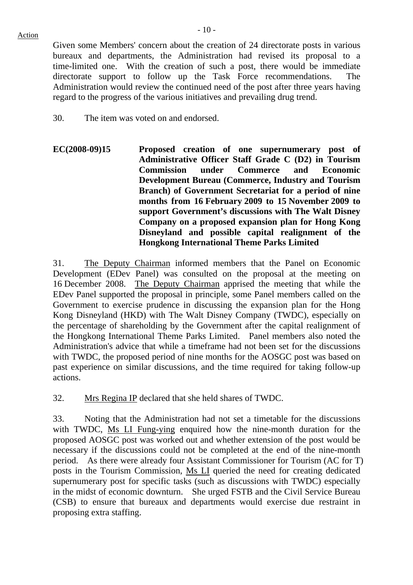Given some Members' concern about the creation of 24 directorate posts in various bureaux and departments, the Administration had revised its proposal to a time-limited one. With the creation of such a post, there would be immediate directorate support to follow up the Task Force recommendations. The Administration would review the continued need of the post after three years having regard to the progress of the various initiatives and prevailing drug trend.

 $-10-$ 

30. The item was voted on and endorsed.

**EC(2008-09)15 Proposed creation of one supernumerary post of Administrative Officer Staff Grade C (D2) in Tourism Commission under Commerce and Economic Development Bureau (Commerce, Industry and Tourism Branch) of Government Secretariat for a period of nine months from 16 February 2009 to 15 November 2009 to support Government's discussions with The Walt Disney Company on a proposed expansion plan for Hong Kong Disneyland and possible capital realignment of the Hongkong International Theme Parks Limited** 

31. The Deputy Chairman informed members that the Panel on Economic Development (EDev Panel) was consulted on the proposal at the meeting on 16 December 2008. The Deputy Chairman apprised the meeting that while the EDev Panel supported the proposal in principle, some Panel members called on the Government to exercise prudence in discussing the expansion plan for the Hong Kong Disneyland (HKD) with The Walt Disney Company (TWDC), especially on the percentage of shareholding by the Government after the capital realignment of the Hongkong International Theme Parks Limited. Panel members also noted the Administration's advice that while a timeframe had not been set for the discussions with TWDC, the proposed period of nine months for the AOSGC post was based on past experience on similar discussions, and the time required for taking follow-up actions.

32. Mrs Regina IP declared that she held shares of TWDC.

33. Noting that the Administration had not set a timetable for the discussions with TWDC, Ms LI Fung-ying enquired how the nine-month duration for the proposed AOSGC post was worked out and whether extension of the post would be necessary if the discussions could not be completed at the end of the nine-month period. As there were already four Assistant Commissioner for Tourism (AC for T) posts in the Tourism Commission, Ms LI queried the need for creating dedicated supernumerary post for specific tasks (such as discussions with TWDC) especially in the midst of economic downturn. She urged FSTB and the Civil Service Bureau (CSB) to ensure that bureaux and departments would exercise due restraint in proposing extra staffing.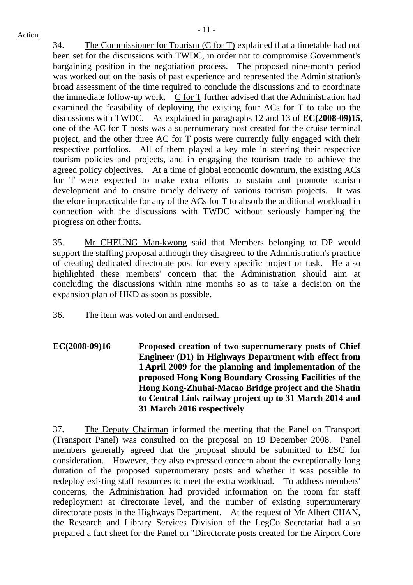34. The Commissioner for Tourism (C for T) explained that a timetable had not been set for the discussions with TWDC, in order not to compromise Government's bargaining position in the negotiation process. The proposed nine-month period was worked out on the basis of past experience and represented the Administration's broad assessment of the time required to conclude the discussions and to coordinate the immediate follow-up work.  $C$  for  $T$  further advised that the Administration had examined the feasibility of deploying the existing four ACs for T to take up the discussions with TWDC. As explained in paragraphs 12 and 13 of **EC(2008-09)15**, one of the AC for T posts was a supernumerary post created for the cruise terminal project, and the other three AC for T posts were currently fully engaged with their respective portfolios. All of them played a key role in steering their respective tourism policies and projects, and in engaging the tourism trade to achieve the agreed policy objectives. At a time of global economic downturn, the existing ACs for T were expected to make extra efforts to sustain and promote tourism development and to ensure timely delivery of various tourism projects. It was therefore impracticable for any of the ACs for T to absorb the additional workload in connection with the discussions with TWDC without seriously hampering the progress on other fronts.

35. Mr CHEUNG Man-kwong said that Members belonging to DP would support the staffing proposal although they disagreed to the Administration's practice of creating dedicated directorate post for every specific project or task. He also highlighted these members' concern that the Administration should aim at concluding the discussions within nine months so as to take a decision on the expansion plan of HKD as soon as possible.

36. The item was voted on and endorsed.

**EC(2008-09)16 Proposed creation of two supernumerary posts of Chief Engineer (D1) in Highways Department with effect from 1 April 2009 for the planning and implementation of the proposed Hong Kong Boundary Crossing Facilities of the Hong Kong-Zhuhai-Macao Bridge project and the Shatin to Central Link railway project up to 31 March 2014 and 31 March 2016 respectively** 

37. The Deputy Chairman informed the meeting that the Panel on Transport (Transport Panel) was consulted on the proposal on 19 December 2008. Panel members generally agreed that the proposal should be submitted to ESC for consideration. However, they also expressed concern about the exceptionally long duration of the proposed supernumerary posts and whether it was possible to redeploy existing staff resources to meet the extra workload. To address members' concerns, the Administration had provided information on the room for staff redeployment at directorate level, and the number of existing supernumerary directorate posts in the Highways Department. At the request of Mr Albert CHAN, the Research and Library Services Division of the LegCo Secretariat had also prepared a fact sheet for the Panel on "Directorate posts created for the Airport Core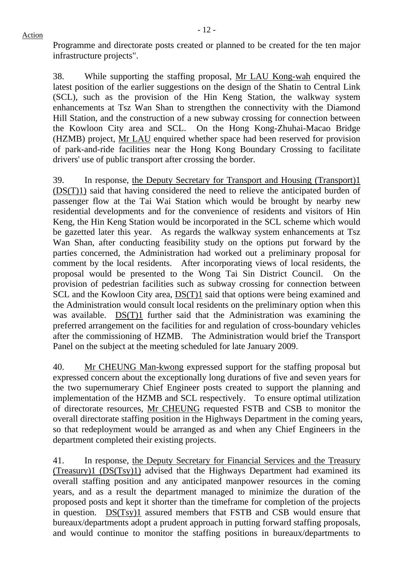38. While supporting the staffing proposal, Mr LAU Kong-wah enquired the latest position of the earlier suggestions on the design of the Shatin to Central Link (SCL), such as the provision of the Hin Keng Station, the walkway system enhancements at Tsz Wan Shan to strengthen the connectivity with the Diamond Hill Station, and the construction of a new subway crossing for connection between the Kowloon City area and SCL. On the Hong Kong-Zhuhai-Macao Bridge (HZMB) project, Mr LAU enquired whether space had been reserved for provision of park-and-ride facilities near the Hong Kong Boundary Crossing to facilitate drivers' use of public transport after crossing the border.

39. In response, the Deputy Secretary for Transport and Housing (Transport)1 (DS(T)1) said that having considered the need to relieve the anticipated burden of passenger flow at the Tai Wai Station which would be brought by nearby new residential developments and for the convenience of residents and visitors of Hin Keng, the Hin Keng Station would be incorporated in the SCL scheme which would be gazetted later this year. As regards the walkway system enhancements at Tsz Wan Shan, after conducting feasibility study on the options put forward by the parties concerned, the Administration had worked out a preliminary proposal for comment by the local residents. After incorporating views of local residents, the proposal would be presented to the Wong Tai Sin District Council. On the provision of pedestrian facilities such as subway crossing for connection between SCL and the Kowloon City area, DS(T)1 said that options were being examined and the Administration would consult local residents on the preliminary option when this was available. DS(T)1 further said that the Administration was examining the preferred arrangement on the facilities for and regulation of cross-boundary vehicles after the commissioning of HZMB. The Administration would brief the Transport Panel on the subject at the meeting scheduled for late January 2009.

40. Mr CHEUNG Man-kwong expressed support for the staffing proposal but expressed concern about the exceptionally long durations of five and seven years for the two supernumerary Chief Engineer posts created to support the planning and implementation of the HZMB and SCL respectively. To ensure optimal utilization of directorate resources, Mr CHEUNG requested FSTB and CSB to monitor the overall directorate staffing position in the Highways Department in the coming years, so that redeployment would be arranged as and when any Chief Engineers in the department completed their existing projects.

41. In response, the Deputy Secretary for Financial Services and the Treasury (Treasury)1 (DS(Tsy)1) advised that the Highways Department had examined its overall staffing position and any anticipated manpower resources in the coming years, and as a result the department managed to minimize the duration of the proposed posts and kept it shorter than the timeframe for completion of the projects in question. DS(Tsy)1 assured members that FSTB and CSB would ensure that bureaux/departments adopt a prudent approach in putting forward staffing proposals, and would continue to monitor the staffing positions in bureaux/departments to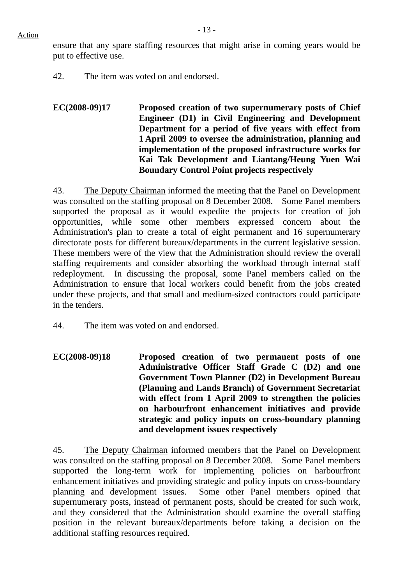ensure that any spare staffing resources that might arise in coming years would be put to effective use.

42. The item was voted on and endorsed.

**EC(2008-09)17 Proposed creation of two supernumerary posts of Chief Engineer (D1) in Civil Engineering and Development Department for a period of five years with effect from 1 April 2009 to oversee the administration, planning and implementation of the proposed infrastructure works for Kai Tak Development and Liantang/Heung Yuen Wai Boundary Control Point projects respectively** 

43. The Deputy Chairman informed the meeting that the Panel on Development was consulted on the staffing proposal on 8 December 2008. Some Panel members supported the proposal as it would expedite the projects for creation of job opportunities, while some other members expressed concern about the Administration's plan to create a total of eight permanent and 16 supernumerary directorate posts for different bureaux/departments in the current legislative session. These members were of the view that the Administration should review the overall staffing requirements and consider absorbing the workload through internal staff redeployment. In discussing the proposal, some Panel members called on the Administration to ensure that local workers could benefit from the jobs created under these projects, and that small and medium-sized contractors could participate in the tenders.

- 44. The item was voted on and endorsed.
- **EC(2008-09)18 Proposed creation of two permanent posts of one Administrative Officer Staff Grade C (D2) and one Government Town Planner (D2) in Development Bureau (Planning and Lands Branch) of Government Secretariat with effect from 1 April 2009 to strengthen the policies on harbourfront enhancement initiatives and provide strategic and policy inputs on cross-boundary planning and development issues respectively**

45. The Deputy Chairman informed members that the Panel on Development was consulted on the staffing proposal on 8 December 2008. Some Panel members supported the long-term work for implementing policies on harbourfront enhancement initiatives and providing strategic and policy inputs on cross-boundary planning and development issues. Some other Panel members opined that supernumerary posts, instead of permanent posts, should be created for such work, and they considered that the Administration should examine the overall staffing position in the relevant bureaux/departments before taking a decision on the additional staffing resources required.